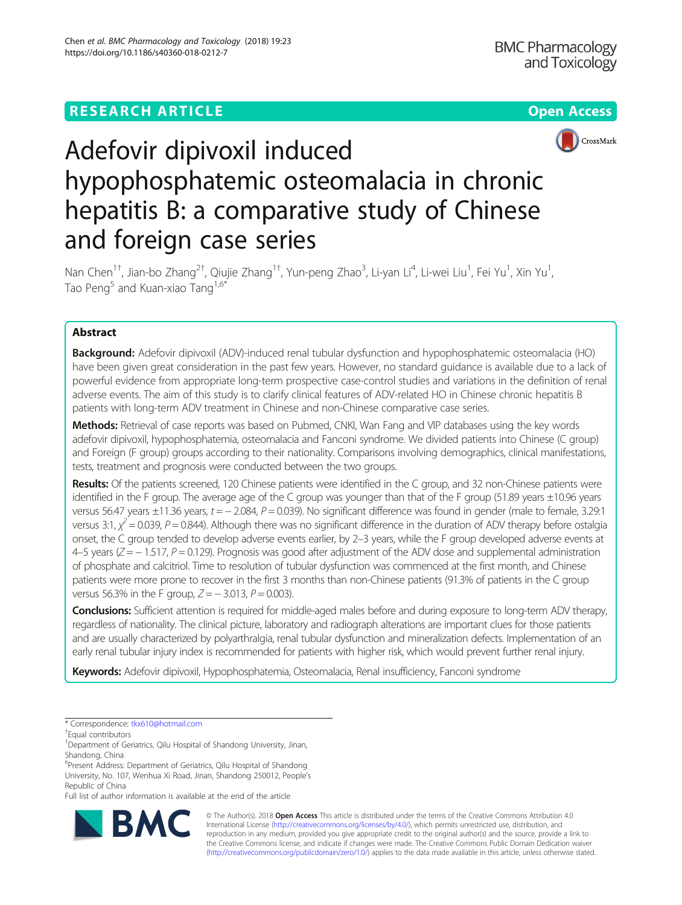

# Adefovir dipivoxil induced hypophosphatemic osteomalacia in chronic hepatitis B: a comparative study of Chinese and foreign case series

Nan Chen<sup>1†</sup>, Jian-bo Zhang<sup>2†</sup>, Qiujie Zhang<sup>1†</sup>, Yun-peng Zhao<sup>3</sup>, Li-yan Li<sup>4</sup>, Li-wei Liu<sup>1</sup>, Fei Yu<sup>1</sup>, Xin Yu<sup>1</sup> , Tao Peng<sup>5</sup> and Kuan-xiao Tang<sup>1,6\*</sup>

# Abstract

Background: Adefovir dipivoxil (ADV)-induced renal tubular dysfunction and hypophosphatemic osteomalacia (HO) have been given great consideration in the past few years. However, no standard guidance is available due to a lack of powerful evidence from appropriate long-term prospective case-control studies and variations in the definition of renal adverse events. The aim of this study is to clarify clinical features of ADV-related HO in Chinese chronic hepatitis B patients with long-term ADV treatment in Chinese and non-Chinese comparative case series.

Methods: Retrieval of case reports was based on Pubmed, CNKI, Wan Fang and VIP databases using the key words adefovir dipivoxil, hypophosphatemia, osteomalacia and Fanconi syndrome. We divided patients into Chinese (C group) and Foreign (F group) groups according to their nationality. Comparisons involving demographics, clinical manifestations, tests, treatment and prognosis were conducted between the two groups.

Results: Of the patients screened, 120 Chinese patients were identified in the C group, and 32 non-Chinese patients were identified in the F group. The average age of the C group was younger than that of the F group (51.89 years  $\pm 10.96$  years versus 56.47 years ±11.36 years,  $t = -2.084$ ,  $P = 0.039$ ). No significant difference was found in gender (male to female, 3.29:1 versus 3:1,  $\chi^2$  = 0.039, P = 0.844). Although there was no significant difference in the duration of ADV therapy before ostalgia onset, the C group tended to develop adverse events earlier, by 2–3 years, while the F group developed adverse events at 4–5 years (Z = − 1.517, P = 0.129). Prognosis was good after adjustment of the ADV dose and supplemental administration of phosphate and calcitriol. Time to resolution of tubular dysfunction was commenced at the first month, and Chinese patients were more prone to recover in the first 3 months than non-Chinese patients (91.3% of patients in the C group versus 56.3% in the F group,  $Z = -3.013$ ,  $P = 0.003$ ).

Conclusions: Sufficient attention is required for middle-aged males before and during exposure to long-term ADV therapy, regardless of nationality. The clinical picture, laboratory and radiograph alterations are important clues for those patients and are usually characterized by polyarthralgia, renal tubular dysfunction and mineralization defects. Implementation of an early renal tubular injury index is recommended for patients with higher risk, which would prevent further renal injury.

Keywords: Adefovir dipivoxil, Hypophosphatemia, Osteomalacia, Renal insufficiency, Fanconi syndrome

Full list of author information is available at the end of the article



© The Author(s). 2018 Open Access This article is distributed under the terms of the Creative Commons Attribution 4.0 International License [\(http://creativecommons.org/licenses/by/4.0/](http://creativecommons.org/licenses/by/4.0/)), which permits unrestricted use, distribution, and reproduction in any medium, provided you give appropriate credit to the original author(s) and the source, provide a link to the Creative Commons license, and indicate if changes were made. The Creative Commons Public Domain Dedication waiver [\(http://creativecommons.org/publicdomain/zero/1.0/](http://creativecommons.org/publicdomain/zero/1.0/)) applies to the data made available in this article, unless otherwise stated.

<sup>\*</sup> Correspondence: [tkx610@hotmail.com](mailto:tkx610@hotmail.com) †

Equal contributors

<sup>&</sup>lt;sup>1</sup> Department of Geriatrics, Qilu Hospital of Shandong University, Jinan,

Shandong, China

<sup>6</sup> Present Address: Department of Geriatrics, Qilu Hospital of Shandong University, No. 107, Wenhua Xi Road, Jinan, Shandong 250012, People's Republic of China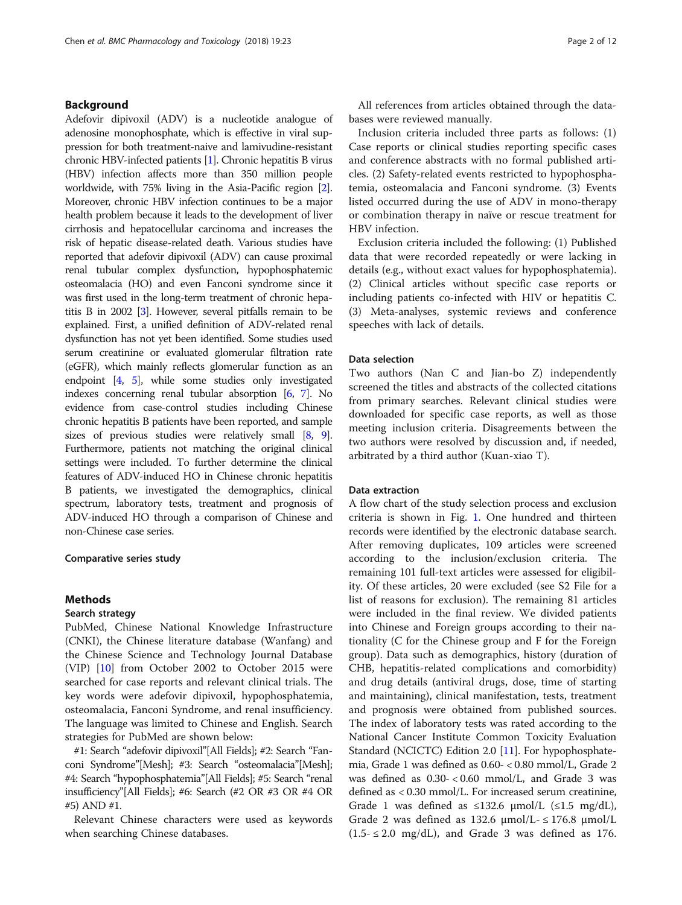# Background

Adefovir dipivoxil (ADV) is a nucleotide analogue of adenosine monophosphate, which is effective in viral suppression for both treatment-naive and lamivudine-resistant chronic HBV-infected patients [\[1](#page-10-0)]. Chronic hepatitis B virus (HBV) infection affects more than 350 million people worldwide, with 75% living in the Asia-Pacific region [[2](#page-11-0)]. Moreover, chronic HBV infection continues to be a major health problem because it leads to the development of liver cirrhosis and hepatocellular carcinoma and increases the risk of hepatic disease-related death. Various studies have reported that adefovir dipivoxil (ADV) can cause proximal renal tubular complex dysfunction, hypophosphatemic osteomalacia (HO) and even Fanconi syndrome since it was first used in the long-term treatment of chronic hepatitis B in 2002 [[3](#page-11-0)]. However, several pitfalls remain to be explained. First, a unified definition of ADV-related renal dysfunction has not yet been identified. Some studies used serum creatinine or evaluated glomerular filtration rate (eGFR), which mainly reflects glomerular function as an endpoint [[4](#page-11-0), [5\]](#page-11-0), while some studies only investigated indexes concerning renal tubular absorption [\[6](#page-11-0), [7\]](#page-11-0). No evidence from case-control studies including Chinese chronic hepatitis B patients have been reported, and sample sizes of previous studies were relatively small [\[8,](#page-11-0) [9](#page-11-0)]. Furthermore, patients not matching the original clinical settings were included. To further determine the clinical features of ADV-induced HO in Chinese chronic hepatitis B patients, we investigated the demographics, clinical spectrum, laboratory tests, treatment and prognosis of ADV-induced HO through a comparison of Chinese and non-Chinese case series.

## Comparative series study

# Methods

# Search strategy

PubMed, Chinese National Knowledge Infrastructure (CNKI), the Chinese literature database (Wanfang) and the Chinese Science and Technology Journal Database (VIP) [\[10](#page-11-0)] from October 2002 to October 2015 were searched for case reports and relevant clinical trials. The key words were adefovir dipivoxil, hypophosphatemia, osteomalacia, Fanconi Syndrome, and renal insufficiency. The language was limited to Chinese and English. Search strategies for PubMed are shown below:

#1: Search "adefovir dipivoxil"[All Fields]; #2: Search "Fanconi Syndrome"[Mesh]; #3: Search "osteomalacia"[Mesh]; #4: Search "hypophosphatemia"[All Fields]; #5: Search "renal insufficiency"[All Fields]; #6: Search (#2 OR #3 OR #4 OR #5) AND #1.

Relevant Chinese characters were used as keywords when searching Chinese databases.

All references from articles obtained through the databases were reviewed manually.

Inclusion criteria included three parts as follows: (1) Case reports or clinical studies reporting specific cases and conference abstracts with no formal published articles. (2) Safety-related events restricted to hypophosphatemia, osteomalacia and Fanconi syndrome. (3) Events listed occurred during the use of ADV in mono-therapy or combination therapy in naïve or rescue treatment for HBV infection.

Exclusion criteria included the following: (1) Published data that were recorded repeatedly or were lacking in details (e.g., without exact values for hypophosphatemia). (2) Clinical articles without specific case reports or including patients co-infected with HIV or hepatitis C. (3) Meta-analyses, systemic reviews and conference speeches with lack of details.

## Data selection

Two authors (Nan C and Jian-bo Z) independently screened the titles and abstracts of the collected citations from primary searches. Relevant clinical studies were downloaded for specific case reports, as well as those meeting inclusion criteria. Disagreements between the two authors were resolved by discussion and, if needed, arbitrated by a third author (Kuan-xiao T).

# Data extraction

A flow chart of the study selection process and exclusion criteria is shown in Fig. [1.](#page-2-0) One hundred and thirteen records were identified by the electronic database search. After removing duplicates, 109 articles were screened according to the inclusion/exclusion criteria. The remaining 101 full-text articles were assessed for eligibility. Of these articles, 20 were excluded (see S2 File for a list of reasons for exclusion). The remaining 81 articles were included in the final review. We divided patients into Chinese and Foreign groups according to their nationality (C for the Chinese group and F for the Foreign group). Data such as demographics, history (duration of CHB, hepatitis-related complications and comorbidity) and drug details (antiviral drugs, dose, time of starting and maintaining), clinical manifestation, tests, treatment and prognosis were obtained from published sources. The index of laboratory tests was rated according to the National Cancer Institute Common Toxicity Evaluation Standard (NCICTC) Edition 2.0 [[11](#page-11-0)]. For hypophosphatemia, Grade 1 was defined as 0.60- < 0.80 mmol/L, Grade 2 was defined as 0.30- < 0.60 mmol/L, and Grade 3 was defined as < 0.30 mmol/L. For increased serum creatinine, Grade 1 was defined as  $\leq 132.6$  µmol/L ( $\leq 1.5$  mg/dL), Grade 2 was defined as 132.6  $\mu$ mol/L-  $\leq$  176.8  $\mu$ mol/L  $(1.5 - \leq 2.0 \, \text{mg/dL})$ , and Grade 3 was defined as 176.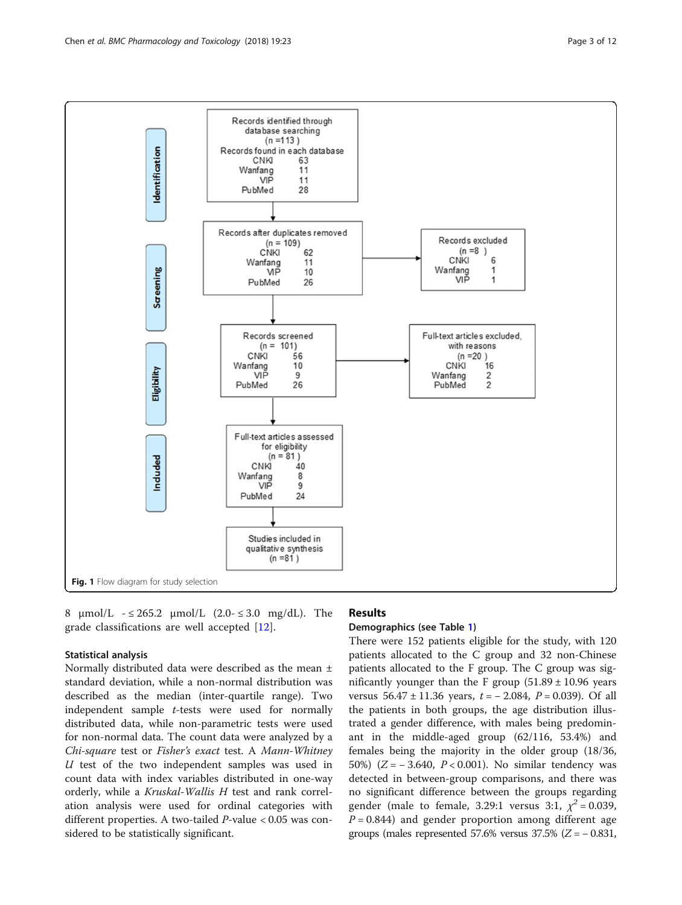<span id="page-2-0"></span>

8 μmol/L  $-5265.2$  μmol/L  $(2.0 - 5.30$  mg/dL). The grade classifications are well accepted [\[12](#page-11-0)].

# Statistical analysis

Normally distributed data were described as the mean ± standard deviation, while a non-normal distribution was described as the median (inter-quartile range). Two independent sample t-tests were used for normally distributed data, while non-parametric tests were used for non-normal data. The count data were analyzed by a Chi-square test or Fisher's exact test. A Mann-Whitney  $U$  test of the two independent samples was used in count data with index variables distributed in one-way orderly, while a Kruskal-Wallis H test and rank correlation analysis were used for ordinal categories with different properties. A two-tailed  $P$ -value < 0.05 was considered to be statistically significant.

# Results

# Demographics (see Table [1](#page-3-0))

There were 152 patients eligible for the study, with 120 patients allocated to the C group and 32 non-Chinese patients allocated to the F group. The C group was significantly younger than the F group  $(51.89 \pm 10.96 \text{ years})$ versus  $56.47 \pm 11.36$  years,  $t = -2.084$ ,  $P = 0.039$ ). Of all the patients in both groups, the age distribution illustrated a gender difference, with males being predominant in the middle-aged group (62/116, 53.4%) and females being the majority in the older group (18/36, 50%) ( $Z = -3.640$ ,  $P < 0.001$ ). No similar tendency was detected in between-group comparisons, and there was no significant difference between the groups regarding gender (male to female, 3.29:1 versus 3:1,  $\chi^2$  = 0.039,  $P = 0.844$ ) and gender proportion among different age groups (males represented 57.6% versus  $37.5\%$  ( $Z = -0.831$ ,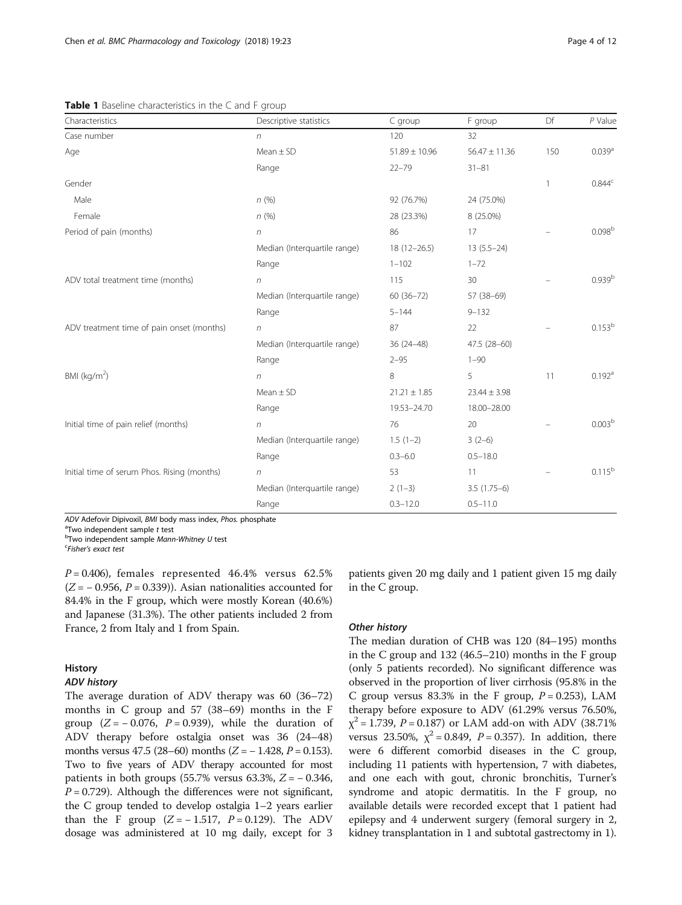| Characteristics                             | Descriptive statistics       | C group           | F group           | Df           | $P$ Value            |
|---------------------------------------------|------------------------------|-------------------|-------------------|--------------|----------------------|
| Case number                                 | $\sqrt{n}$                   | 120               | 32                |              |                      |
| Age                                         | $Mean \pm SD$                | $51.89 \pm 10.96$ | $56.47 \pm 11.36$ | 150          | 0.039 <sup>a</sup>   |
|                                             | Range                        | $22 - 79$         | $31 - 81$         |              |                      |
| Gender                                      |                              |                   |                   | $\mathbf{1}$ | $0.844^c$            |
| Male                                        | n(%)                         | 92 (76.7%)        | 24 (75.0%)        |              |                      |
| Female                                      | n(%)                         | 28 (23.3%)        | 8 (25.0%)         |              |                      |
| Period of pain (months)                     | n                            | 86                | 17                |              | $0.098^{b}$          |
|                                             | Median (Interquartile range) | $18(12 - 26.5)$   | $13(5.5-24)$      |              |                      |
|                                             | Range                        | $1 - 102$         | $1 - 72$          |              |                      |
| ADV total treatment time (months)           | n                            | 115               | 30                |              | $0.939^{b}$          |
|                                             | Median (Interquartile range) | $60(36 - 72)$     | 57 (38-69)        |              |                      |
|                                             | Range                        | $5 - 144$         | $9 - 132$         |              |                      |
| ADV treatment time of pain onset (months)   | n                            | 87                | 22                |              | $0.153^b$            |
|                                             | Median (Interquartile range) | $36(24-48)$       | 47.5 (28-60)      |              |                      |
|                                             | Range                        | $2 - 95$          | $1 - 90$          |              |                      |
| BMI ( $kg/m2$ )                             | n                            | 8                 | 5                 | 11           | $0.192$ <sup>a</sup> |
|                                             | $Mean \pm SD$                | $21.21 \pm 1.85$  | $23.44 \pm 3.98$  |              |                      |
|                                             | Range                        | 19.53-24.70       | 18.00-28.00       |              |                      |
| Initial time of pain relief (months)        | n                            | 76                | 20                |              | 0.003 <sup>b</sup>   |
|                                             | Median (Interquartile range) | $1.5(1-2)$        | $3(2-6)$          |              |                      |
|                                             | Range                        | $0.3 - 6.0$       | $0.5 - 18.0$      |              |                      |
| Initial time of serum Phos. Rising (months) | n                            | 53                | 11                |              | $0.115^{b}$          |
|                                             | Median (Interquartile range) | $2(1-3)$          | $3.5(1.75-6)$     |              |                      |
|                                             | Range                        | $0.3 - 12.0$      | $0.5 - 11.0$      |              |                      |
|                                             |                              |                   |                   |              |                      |

<span id="page-3-0"></span>Table 1 Baseline characteristics in the C and F group

ADV Adefovir Dipivoxil, BMI body mass index, Phos. phosphate

 $\textdegree$ Two independent sample t test

 $b$ Two independent sample Mann-Whitney U test

Fisher's exact test

 $P = 0.406$ , females represented 46.4% versus 62.5%  $(Z = -0.956, P = 0.339)$ . Asian nationalities accounted for 84.4% in the F group, which were mostly Korean (40.6%) and Japanese (31.3%). The other patients included 2 from France, 2 from Italy and 1 from Spain.

# **History**

## ADV history

The average duration of ADV therapy was 60 (36–72) months in C group and 57 (38–69) months in the F group  $(Z = -0.076, P = 0.939)$ , while the duration of ADV therapy before ostalgia onset was 36 (24–48) months versus 47.5 (28–60) months ( $Z = -1.428$ ,  $P = 0.153$ ). Two to five years of ADV therapy accounted for most patients in both groups (55.7% versus 63.3%,  $Z = -0.346$ ,  $P = 0.729$ ). Although the differences were not significant, the C group tended to develop ostalgia 1–2 years earlier than the F group  $(Z = -1.517, P = 0.129)$ . The ADV dosage was administered at 10 mg daily, except for 3

patients given 20 mg daily and 1 patient given 15 mg daily in the C group.

## Other history

The median duration of CHB was 120 (84–195) months in the C group and 132 (46.5–210) months in the F group (only 5 patients recorded). No significant difference was observed in the proportion of liver cirrhosis (95.8% in the C group versus 83.3% in the F group,  $P = 0.253$ ), LAM therapy before exposure to ADV (61.29% versus 76.50%,  $\chi^2$  = 1.739, P = 0.187) or LAM add-on with ADV (38.71%) versus 23.50%,  $\chi^2 = 0.849$ ,  $P = 0.357$ ). In addition, there were 6 different comorbid diseases in the C group, including 11 patients with hypertension, 7 with diabetes, and one each with gout, chronic bronchitis, Turner's syndrome and atopic dermatitis. In the F group, no available details were recorded except that 1 patient had epilepsy and 4 underwent surgery (femoral surgery in 2, kidney transplantation in 1 and subtotal gastrectomy in 1).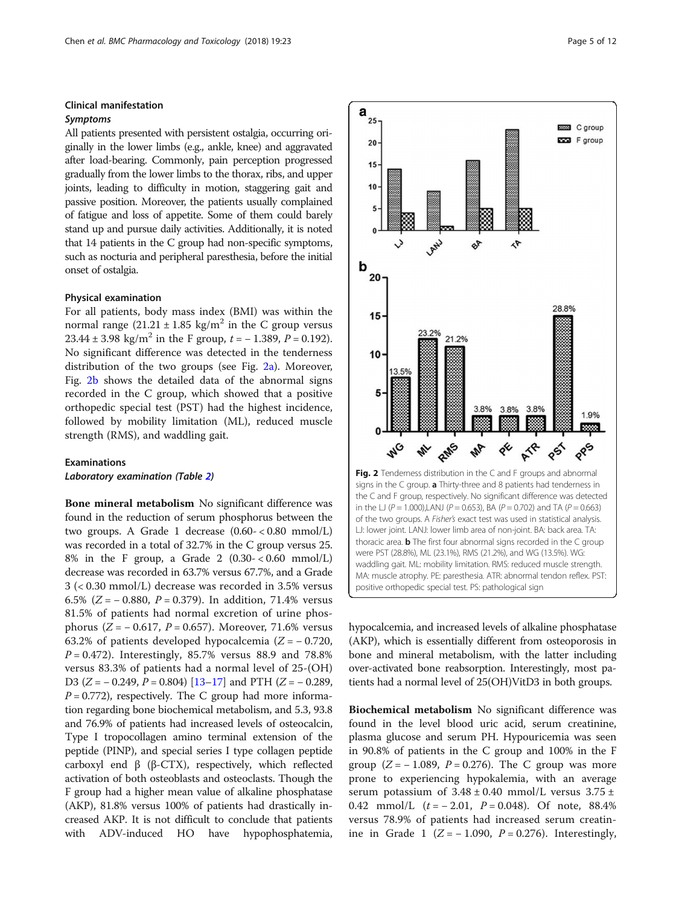# Clinical manifestation Symptoms

All patients presented with persistent ostalgia, occurring originally in the lower limbs (e.g., ankle, knee) and aggravated after load-bearing. Commonly, pain perception progressed gradually from the lower limbs to the thorax, ribs, and upper joints, leading to difficulty in motion, staggering gait and passive position. Moreover, the patients usually complained of fatigue and loss of appetite. Some of them could barely stand up and pursue daily activities. Additionally, it is noted that 14 patients in the C group had non-specific symptoms, such as nocturia and peripheral paresthesia, before the initial onset of ostalgia.

## Physical examination

For all patients, body mass index (BMI) was within the normal range  $(21.21 \pm 1.85 \text{ kg/m}^2$  in the C group versus 23.44 ± 3.98 kg/m<sup>2</sup> in the F group,  $t = -1.389$ ,  $P = 0.192$ ). No significant difference was detected in the tenderness distribution of the two groups (see Fig. 2a). Moreover, Fig. 2b shows the detailed data of the abnormal signs recorded in the C group, which showed that a positive orthopedic special test (PST) had the highest incidence, followed by mobility limitation (ML), reduced muscle strength (RMS), and waddling gait.

#### Examinations

Laboratory examination (Table [2](#page-5-0))

Bone mineral metabolism No significant difference was found in the reduction of serum phosphorus between the two groups. A Grade 1 decrease (0.60- < 0.80 mmol/L) was recorded in a total of 32.7% in the C group versus 25. 8% in the F group, a Grade 2  $(0.30 - 0.60 \text{ mmol/L})$ decrease was recorded in 63.7% versus 67.7%, and a Grade 3 (< 0.30 mmol/L) decrease was recorded in 3.5% versus 6.5% ( $Z = -0.880$ ,  $P = 0.379$ ). In addition, 71.4% versus 81.5% of patients had normal excretion of urine phosphorus ( $Z = -0.617$ ,  $P = 0.657$ ). Moreover, 71.6% versus 63.2% of patients developed hypocalcemia  $(Z = -0.720,$  $P = 0.472$ ). Interestingly, 85.7% versus 88.9 and 78.8% versus 83.3% of patients had a normal level of 25-(OH) D3 ( $Z = -0.249$ ,  $P = 0.804$ ) [[13](#page-11-0)–[17\]](#page-11-0) and PTH ( $Z = -0.289$ ,  $P = 0.772$ ), respectively. The C group had more information regarding bone biochemical metabolism, and 5.3, 93.8 and 76.9% of patients had increased levels of osteocalcin, Type I tropocollagen amino terminal extension of the peptide (PINP), and special series I type collagen peptide carboxyl end β (β-CTX), respectively, which reflected activation of both osteoblasts and osteoclasts. Though the F group had a higher mean value of alkaline phosphatase (AKP), 81.8% versus 100% of patients had drastically increased AKP. It is not difficult to conclude that patients with ADV-induced HO have hypophosphatemia,



hypocalcemia, and increased levels of alkaline phosphatase (AKP), which is essentially different from osteoporosis in bone and mineral metabolism, with the latter including over-activated bone reabsorption. Interestingly, most patients had a normal level of 25(OH)VitD3 in both groups.

Biochemical metabolism No significant difference was found in the level blood uric acid, serum creatinine, plasma glucose and serum PH. Hypouricemia was seen in 90.8% of patients in the C group and 100% in the F group ( $Z = -1.089$ ,  $P = 0.276$ ). The C group was more prone to experiencing hypokalemia, with an average serum potassium of  $3.48 \pm 0.40$  mmol/L versus  $3.75 \pm$ 0.42 mmol/L  $(t = -2.01, P = 0.048)$ . Of note, 88.4% versus 78.9% of patients had increased serum creatinine in Grade 1 ( $Z = -1.090$ ,  $P = 0.276$ ). Interestingly,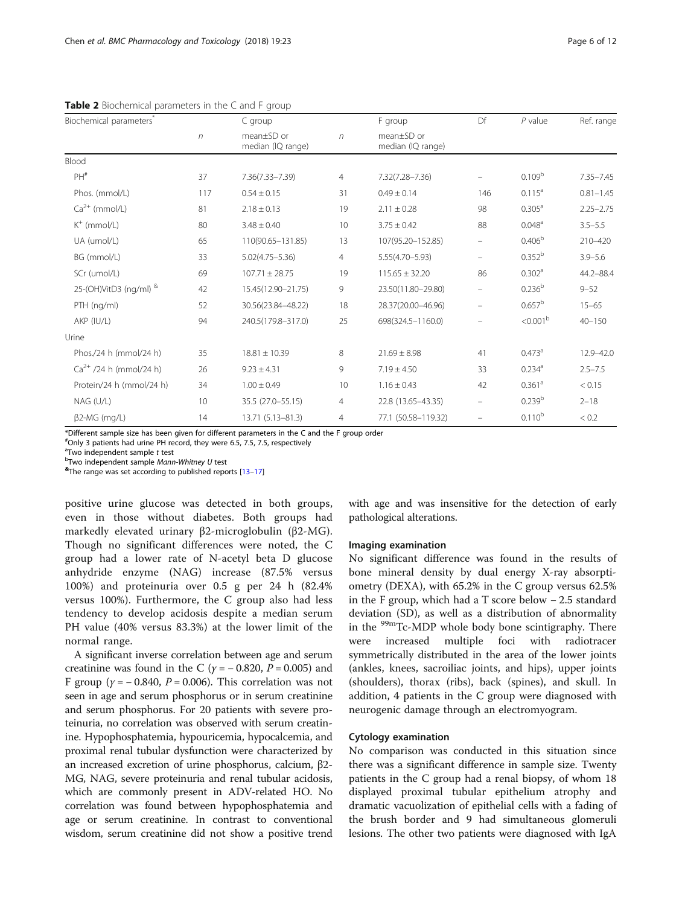| Biochemical parameters <sup>7</sup> |            | C group                         |                | F group                         | Df                       | $P$ value            | Ref. range    |
|-------------------------------------|------------|---------------------------------|----------------|---------------------------------|--------------------------|----------------------|---------------|
|                                     | $\sqrt{n}$ | mean±SD or<br>median (IQ range) | $\sqrt{n}$     | mean±SD or<br>median (IQ range) |                          |                      |               |
| Blood                               |            |                                 |                |                                 |                          |                      |               |
| $PH$ #                              | 37         | $7.36(7.33 - 7.39)$             | $\overline{4}$ | 7.32(7.28-7.36)                 |                          | 0.109 <sup>b</sup>   | $7.35 - 7.45$ |
| Phos. (mmol/L)                      | 117        | $0.54 \pm 0.15$                 | 31             | $0.49 \pm 0.14$                 | 146                      | $0.115^a$            | $0.81 - 1.45$ |
| $Ca2+$ (mmol/L)                     | 81         | $2.18 \pm 0.13$                 | 19             | $2.11 \pm 0.28$                 | 98                       | 0.305 <sup>a</sup>   | $2.25 - 2.75$ |
| $K^+$ (mmol/L)                      | 80         | $3.48 \pm 0.40$                 | 10             | $3.75 \pm 0.42$                 | 88                       | 0.048 <sup>a</sup>   | $3.5 - 5.5$   |
| UA (umol/L)                         | 65         | 110(90.65-131.85)               | 13             | 107(95.20-152.85)               | $\qquad \qquad -$        | 0.406 <sup>b</sup>   | 210-420       |
| BG (mmol/L)                         | 33         | $5.02(4.75 - 5.36)$             | $\overline{4}$ | $5.55(4.70 - 5.93)$             | $\overline{\phantom{0}}$ | 0.352 <sup>b</sup>   | $3.9 - 5.6$   |
| SCr (umol/L)                        | 69         | $107.71 \pm 28.75$              | 19             | $115.65 \pm 32.20$              | 86                       | 0.302 <sup>a</sup>   | 44.2-88.4     |
| 25-(OH)VitD3 (ng/ml) &              | 42         | 15.45(12.90-21.75)              | 9              | 23.50(11.80-29.80)              | $\overline{\phantom{0}}$ | 0.236 <sup>b</sup>   | $9 - 52$      |
| PTH (ng/ml)                         | 52         | 30.56(23.84-48.22)              | 18             | 28.37(20.00-46.96)              |                          | 0.657 <sup>b</sup>   | $15 - 65$     |
| AKP (IU/L)                          | 94         | 240.5(179.8-317.0)              | 25             | 698(324.5-1160.0)               |                          | < 0.001 <sup>b</sup> | $40 - 150$    |
| Urine                               |            |                                 |                |                                 |                          |                      |               |
| Phos./24 h (mmol/24 h)              | 35         | $18.81 \pm 10.39$               | 8              | $21.69 \pm 8.98$                | 41                       | $0.473$ <sup>a</sup> | 12.9-42.0     |
| $Ca^{2+}/24$ h (mmol/24 h)          | 26         | $9.23 \pm 4.31$                 | 9              | $7.19 \pm 4.50$                 | 33                       | $0.234$ <sup>a</sup> | $2.5 - 7.5$   |
| Protein/24 h (mmol/24 h)            | 34         | $1.00 \pm 0.49$                 | 10             | $1.16 \pm 0.43$                 | 42                       | 0.361 <sup>a</sup>   | < 0.15        |
| NAG (U/L)                           | 10         | 35.5 (27.0-55.15)               | $\overline{4}$ | 22.8 (13.65-43.35)              | $\overline{\phantom{0}}$ | 0.239 <sup>b</sup>   | $2 - 18$      |
| $\beta$ 2-MG (mg/L)                 | 14         | 13.71 (5.13-81.3)               | $\overline{4}$ | 77.1 (50.58-119.32)             |                          | $0.110^{b}$          | < 0.2         |

<span id="page-5-0"></span>Table 2 Biochemical parameters in the C and F group

\*Different sample size has been given for different parameters in the C and the F group order

# Only 3 patients had urine PH record, they were 6.5, 7.5, 7.5, respectively

<sup>a</sup> Two independent sample t test

 $^{b}$ Two independent sample *Mann-Whitney U* test  $^{b}$ The range was set according to published reports [\[13](#page-11-0)–[17](#page-11-0)]

positive urine glucose was detected in both groups, even in those without diabetes. Both groups had markedly elevated urinary β2-microglobulin (β2-MG). Though no significant differences were noted, the C group had a lower rate of N-acetyl beta D glucose anhydride enzyme (NAG) increase (87.5% versus 100%) and proteinuria over 0.5 g per 24 h (82.4% versus 100%). Furthermore, the C group also had less tendency to develop acidosis despite a median serum PH value (40% versus 83.3%) at the lower limit of the normal range.

A significant inverse correlation between age and serum creatinine was found in the C ( $\gamma$  = -0.820, P = 0.005) and F group ( $\gamma$  = -0.840, P = 0.006). This correlation was not seen in age and serum phosphorus or in serum creatinine and serum phosphorus. For 20 patients with severe proteinuria, no correlation was observed with serum creatinine. Hypophosphatemia, hypouricemia, hypocalcemia, and proximal renal tubular dysfunction were characterized by an increased excretion of urine phosphorus, calcium, β2- MG, NAG, severe proteinuria and renal tubular acidosis, which are commonly present in ADV-related HO. No correlation was found between hypophosphatemia and age or serum creatinine. In contrast to conventional wisdom, serum creatinine did not show a positive trend with age and was insensitive for the detection of early pathological alterations.

### Imaging examination

No significant difference was found in the results of bone mineral density by dual energy X-ray absorptiometry (DEXA), with 65.2% in the C group versus 62.5% in the F group, which had a T score below − 2.5 standard deviation (SD), as well as a distribution of abnormality in the <sup>99m</sup>Tc-MDP whole body bone scintigraphy. There were increased multiple foci with radiotracer symmetrically distributed in the area of the lower joints (ankles, knees, sacroiliac joints, and hips), upper joints (shoulders), thorax (ribs), back (spines), and skull. In addition, 4 patients in the C group were diagnosed with neurogenic damage through an electromyogram.

# Cytology examination

No comparison was conducted in this situation since there was a significant difference in sample size. Twenty patients in the C group had a renal biopsy, of whom 18 displayed proximal tubular epithelium atrophy and dramatic vacuolization of epithelial cells with a fading of the brush border and 9 had simultaneous glomeruli lesions. The other two patients were diagnosed with IgA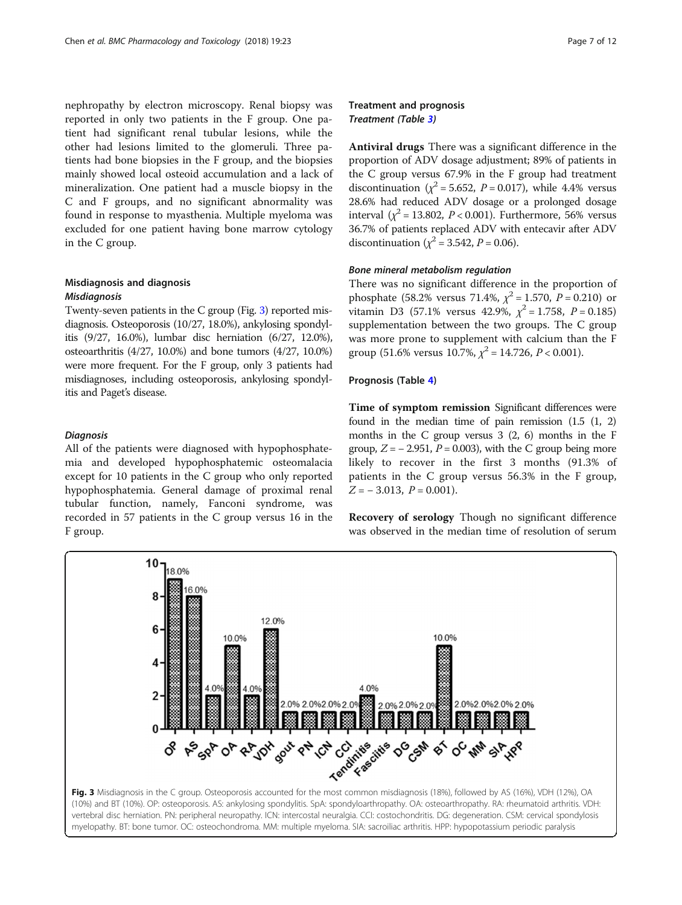nephropathy by electron microscopy. Renal biopsy was reported in only two patients in the F group. One patient had significant renal tubular lesions, while the other had lesions limited to the glomeruli. Three patients had bone biopsies in the F group, and the biopsies mainly showed local osteoid accumulation and a lack of mineralization. One patient had a muscle biopsy in the C and F groups, and no significant abnormality was found in response to myasthenia. Multiple myeloma was excluded for one patient having bone marrow cytology in the C group.

# Misdiagnosis and diagnosis Misdiagnosis

Twenty-seven patients in the C group (Fig. 3) reported misdiagnosis. Osteoporosis (10/27, 18.0%), ankylosing spondylitis (9/27, 16.0%), lumbar disc herniation (6/27, 12.0%), osteoarthritis (4/27, 10.0%) and bone tumors (4/27, 10.0%) were more frequent. For the F group, only 3 patients had misdiagnoses, including osteoporosis, ankylosing spondylitis and Paget's disease.

# Diagnosis

All of the patients were diagnosed with hypophosphatemia and developed hypophosphatemic osteomalacia except for 10 patients in the C group who only reported hypophosphatemia. General damage of proximal renal tubular function, namely, Fanconi syndrome, was recorded in 57 patients in the C group versus 16 in the F group.

Antiviral drugs There was a significant difference in the proportion of ADV dosage adjustment; 89% of patients in the C group versus 67.9% in the F group had treatment discontinuation ( $\chi^2$  = 5.652, P = 0.017), while 4.4% versus 28.6% had reduced ADV dosage or a prolonged dosage interval  $(\chi^2 = 13.802, P < 0.001)$ . Furthermore, 56% versus 36.7% of patients replaced ADV with entecavir after ADV discontinuation ( $\chi^2$  = 3.542, *P* = 0.06).

## Bone mineral metabolism regulation

There was no significant difference in the proportion of phosphate (58.2% versus 71.4%,  $\chi^2$  = 1.570, P = 0.210) or vitamin D3 (57.1% versus 42.9%,  $\chi^2 = 1.758$ ,  $P = 0.185$ ) supplementation between the two groups. The C group was more prone to supplement with calcium than the F group (51.6% versus 10.7%,  $\chi^2$  = 14.726, P < 0.001).

# Prognosis (Table [4\)](#page-7-0)

Time of symptom remission Significant differences were found in the median time of pain remission (1.5 (1, 2) months in the C group versus 3 (2, 6) months in the F group,  $Z = -2.951$ ,  $P = 0.003$ ), with the C group being more likely to recover in the first 3 months (91.3% of patients in the C group versus 56.3% in the F group,  $Z = -3.013$ ,  $P = 0.001$ ).

Recovery of serology Though no significant difference was observed in the median time of resolution of serum

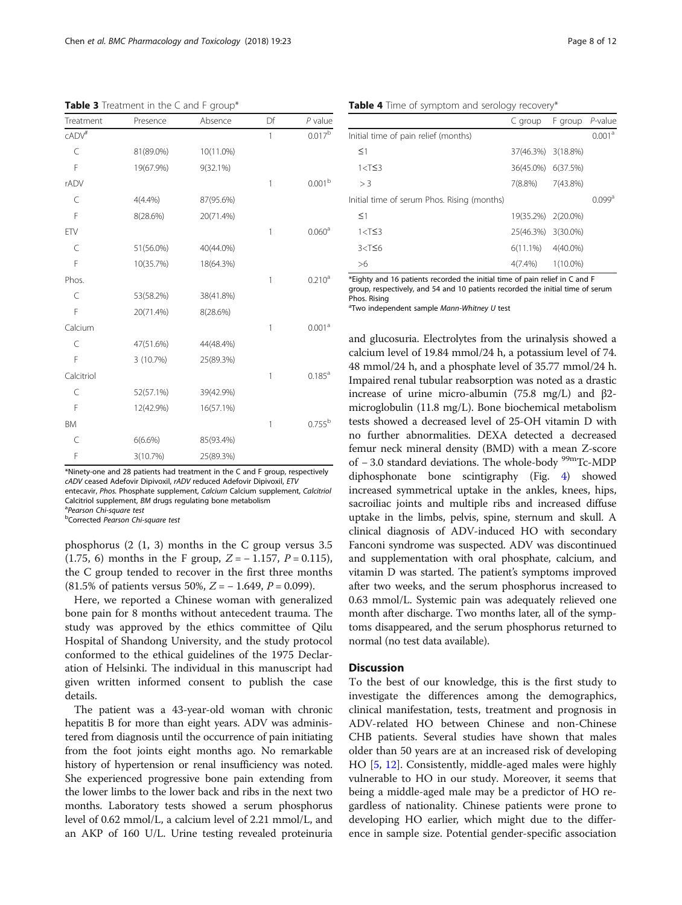**bCorrected Pearson Chi-square test** 

phosphorus (2 (1, 3) months in the C group versus 3.5 (1.75, 6) months in the F group,  $Z = -1.157$ ,  $P = 0.115$ ), the C group tended to recover in the first three months (81.5% of patients versus 50%, Z = − 1.649, P = 0.099).

Here, we reported a Chinese woman with generalized bone pain for 8 months without antecedent trauma. The study was approved by the ethics committee of Qilu Hospital of Shandong University, and the study protocol conformed to the ethical guidelines of the 1975 Declaration of Helsinki. The individual in this manuscript had given written informed consent to publish the case details.

The patient was a 43-year-old woman with chronic hepatitis B for more than eight years. ADV was administered from diagnosis until the occurrence of pain initiating from the foot joints eight months ago. No remarkable history of hypertension or renal insufficiency was noted. She experienced progressive bone pain extending from the lower limbs to the lower back and ribs in the next two months. Laboratory tests showed a serum phosphorus level of 0.62 mmol/L, a calcium level of 2.21 mmol/L, and an AKP of 160 U/L. Urine testing revealed proteinuria

C 6(6.6%) 85(93.4%) F 3(10.7%) 25(89.3%) \*Ninety-one and 28 patients had treatment in the C and F group, respectively cADV ceased Adefovir Dipivoxil, rADV reduced Adefovir Dipivoxil, ETV entecavir, Phos. Phosphate supplement, Calcium Calcium supplement, Calcitriol Calcitriol supplement, BM drugs regulating bone metabolism <sup>a</sup>Pearson Chi-square test

Treatment Presence Absence Df P value  $\mathsf{cADV}^\#$  0.017<sup>b</sup> C 81(89.0%) 10(11.0%) F 19(67.9%) 9(32.1%) rADV  $1$  0.001<sup>b</sup> C 4(4.4%) 87(95.6%) F 8(28.6%) 20(71.4%)  $ETV$  and  $1$  0.060<sup>a</sup> C 51(56.0%) 40(44.0%) F 10(35.7%) 18(64.3%) Phos.  $1$  0.210<sup>a</sup> C 53(58.2%) 38(41.8%) F 20(71.4%) 8(28.6%) Calcium 1 0.001<sup>a</sup> C 47(51.6%) 44(48.4%) F 3 (10.7%) 25(89.3%)  $Calcitriol$  1 0.185<sup>a</sup> C 52(57.1%) 39(42.9%) F 12(42.9%) 16(57.1%) BM 1 0.755<sup>b</sup>

<span id="page-7-0"></span>Table 3 Treatment in the C and F group\*

|  |  | Table 4 Time of symptom and serology recovery* |  |
|--|--|------------------------------------------------|--|
|  |  |                                                |  |

|                                             | C group $\overline{F}$ group $\overline{P}$ -value |             |                    |
|---------------------------------------------|----------------------------------------------------|-------------|--------------------|
| Initial time of pain relief (months)        |                                                    |             | 0.001 <sup>a</sup> |
| <1                                          | 37(46.3%) 3(18.8%)                                 |             |                    |
| $1 < T \leq 3$                              | 36(45.0%) 6(37.5%)                                 |             |                    |
| $>$ 3                                       | 7(8.8%)                                            | 7(43.8%)    |                    |
| Initial time of serum Phos. Rising (months) |                                                    |             | 0.099a             |
| <1                                          | 19(35.2%) 2(20.0%)                                 |             |                    |
| $1 < T \leq 3$                              | 25(46.3%)                                          | 3(30.0%)    |                    |
| $3 < T \leq 6$                              | $6(11.1\%)$ $4(40.0\%)$                            |             |                    |
| >6                                          | $4(7.4\%)$                                         | $1(10.0\%)$ |                    |

\*Eighty and 16 patients recorded the initial time of pain relief in C and F group, respectively, and 54 and 10 patients recorded the initial time of serum Phos. Rising

<sup>a</sup>Two independent sample Mann-Whitney U test

and glucosuria. Electrolytes from the urinalysis showed a calcium level of 19.84 mmol/24 h, a potassium level of 74. 48 mmol/24 h, and a phosphate level of 35.77 mmol/24 h. Impaired renal tubular reabsorption was noted as a drastic increase of urine micro-albumin (75.8 mg/L) and β2microglobulin (11.8 mg/L). Bone biochemical metabolism tests showed a decreased level of 25-OH vitamin D with no further abnormalities. DEXA detected a decreased femur neck mineral density (BMD) with a mean Z-score of - 3.0 standard deviations. The whole-body <sup>99m</sup>Tc-MDP diphosphonate bone scintigraphy (Fig. [4](#page-8-0)) showed increased symmetrical uptake in the ankles, knees, hips, sacroiliac joints and multiple ribs and increased diffuse uptake in the limbs, pelvis, spine, sternum and skull. A clinical diagnosis of ADV-induced HO with secondary Fanconi syndrome was suspected. ADV was discontinued and supplementation with oral phosphate, calcium, and vitamin D was started. The patient's symptoms improved after two weeks, and the serum phosphorus increased to 0.63 mmol/L. Systemic pain was adequately relieved one month after discharge. Two months later, all of the symptoms disappeared, and the serum phosphorus returned to normal (no test data available).

## **Discussion**

To the best of our knowledge, this is the first study to investigate the differences among the demographics, clinical manifestation, tests, treatment and prognosis in ADV-related HO between Chinese and non-Chinese CHB patients. Several studies have shown that males older than 50 years are at an increased risk of developing HO [\[5](#page-11-0), [12\]](#page-11-0). Consistently, middle-aged males were highly vulnerable to HO in our study. Moreover, it seems that being a middle-aged male may be a predictor of HO regardless of nationality. Chinese patients were prone to developing HO earlier, which might due to the difference in sample size. Potential gender-specific association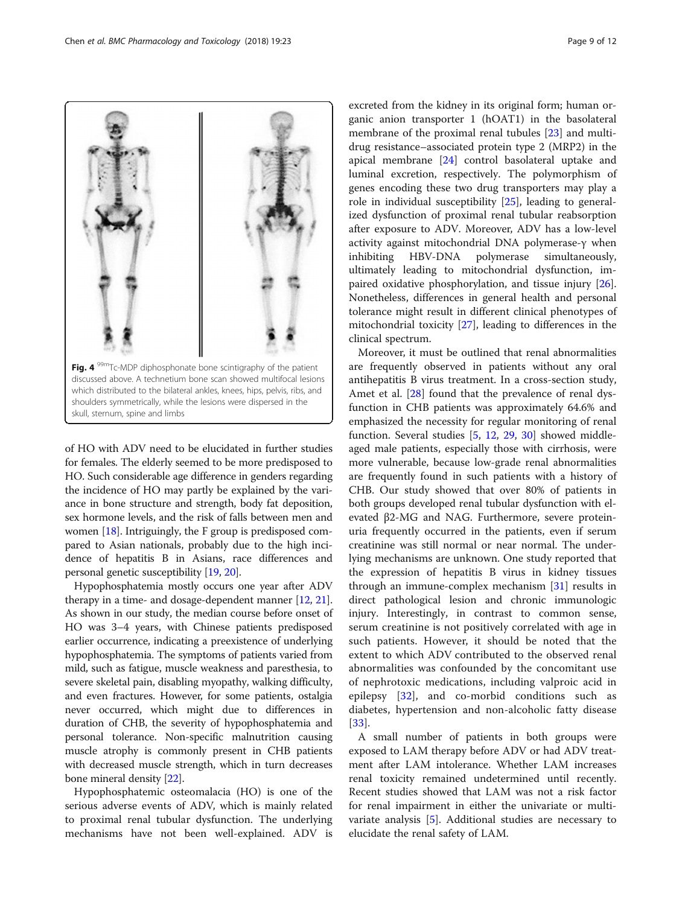<span id="page-8-0"></span>

of HO with ADV need to be elucidated in further studies for females. The elderly seemed to be more predisposed to HO. Such considerable age difference in genders regarding the incidence of HO may partly be explained by the variance in bone structure and strength, body fat deposition, sex hormone levels, and the risk of falls between men and women [\[18\]](#page-11-0). Intriguingly, the F group is predisposed compared to Asian nationals, probably due to the high incidence of hepatitis B in Asians, race differences and personal genetic susceptibility [[19](#page-11-0), [20\]](#page-11-0).

Hypophosphatemia mostly occurs one year after ADV therapy in a time- and dosage-dependent manner [\[12,](#page-11-0) [21](#page-11-0)]. As shown in our study, the median course before onset of HO was 3–4 years, with Chinese patients predisposed earlier occurrence, indicating a preexistence of underlying hypophosphatemia. The symptoms of patients varied from mild, such as fatigue, muscle weakness and paresthesia, to severe skeletal pain, disabling myopathy, walking difficulty, and even fractures. However, for some patients, ostalgia never occurred, which might due to differences in duration of CHB, the severity of hypophosphatemia and personal tolerance. Non-specific malnutrition causing muscle atrophy is commonly present in CHB patients with decreased muscle strength, which in turn decreases bone mineral density [\[22\]](#page-11-0).

Hypophosphatemic osteomalacia (HO) is one of the serious adverse events of ADV, which is mainly related to proximal renal tubular dysfunction. The underlying mechanisms have not been well-explained. ADV is

excreted from the kidney in its original form; human organic anion transporter 1 (hOAT1) in the basolateral membrane of the proximal renal tubules [[23\]](#page-11-0) and multidrug resistance–associated protein type 2 (MRP2) in the apical membrane [[24\]](#page-11-0) control basolateral uptake and luminal excretion, respectively. The polymorphism of genes encoding these two drug transporters may play a role in individual susceptibility [[25\]](#page-11-0), leading to generalized dysfunction of proximal renal tubular reabsorption after exposure to ADV. Moreover, ADV has a low-level activity against mitochondrial DNA polymerase-γ when inhibiting HBV-DNA polymerase simultaneously, ultimately leading to mitochondrial dysfunction, impaired oxidative phosphorylation, and tissue injury [\[26](#page-11-0)]. Nonetheless, differences in general health and personal tolerance might result in different clinical phenotypes of mitochondrial toxicity [[27\]](#page-11-0), leading to differences in the clinical spectrum.

Moreover, it must be outlined that renal abnormalities are frequently observed in patients without any oral antihepatitis B virus treatment. In a cross-section study, Amet et al. [\[28](#page-11-0)] found that the prevalence of renal dysfunction in CHB patients was approximately 64.6% and emphasized the necessity for regular monitoring of renal function. Several studies [\[5,](#page-11-0) [12,](#page-11-0) [29,](#page-11-0) [30](#page-11-0)] showed middleaged male patients, especially those with cirrhosis, were more vulnerable, because low-grade renal abnormalities are frequently found in such patients with a history of CHB. Our study showed that over 80% of patients in both groups developed renal tubular dysfunction with elevated β2-MG and NAG. Furthermore, severe proteinuria frequently occurred in the patients, even if serum creatinine was still normal or near normal. The underlying mechanisms are unknown. One study reported that the expression of hepatitis B virus in kidney tissues through an immune-complex mechanism [[31](#page-11-0)] results in direct pathological lesion and chronic immunologic injury. Interestingly, in contrast to common sense, serum creatinine is not positively correlated with age in such patients. However, it should be noted that the extent to which ADV contributed to the observed renal abnormalities was confounded by the concomitant use of nephrotoxic medications, including valproic acid in epilepsy [[32\]](#page-11-0), and co-morbid conditions such as diabetes, hypertension and non-alcoholic fatty disease [[33\]](#page-11-0).

A small number of patients in both groups were exposed to LAM therapy before ADV or had ADV treatment after LAM intolerance. Whether LAM increases renal toxicity remained undetermined until recently. Recent studies showed that LAM was not a risk factor for renal impairment in either the univariate or multivariate analysis [\[5](#page-11-0)]. Additional studies are necessary to elucidate the renal safety of LAM.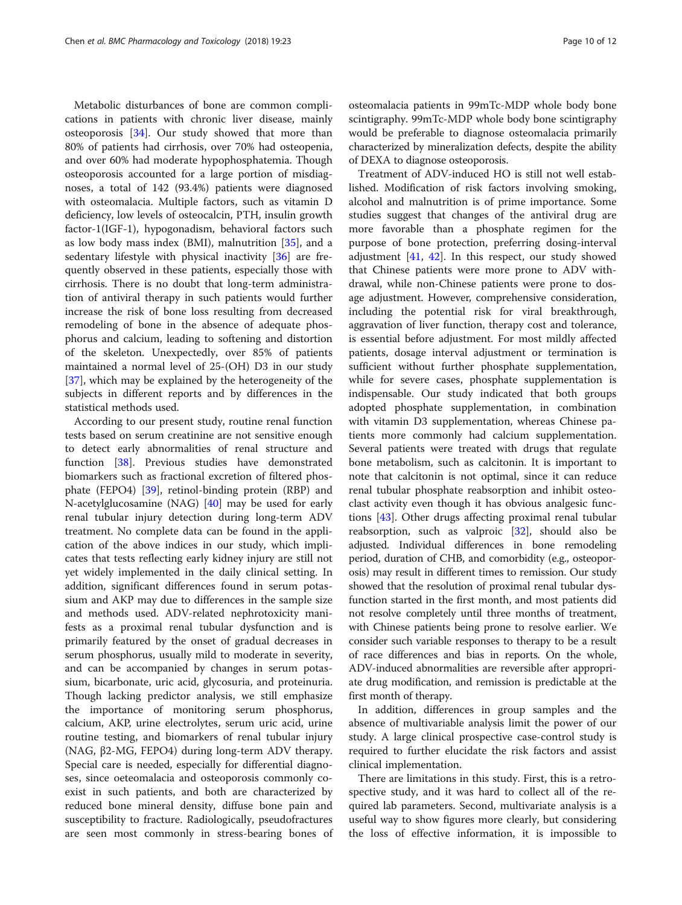Metabolic disturbances of bone are common complications in patients with chronic liver disease, mainly osteoporosis [\[34](#page-11-0)]. Our study showed that more than 80% of patients had cirrhosis, over 70% had osteopenia, and over 60% had moderate hypophosphatemia. Though osteoporosis accounted for a large portion of misdiagnoses, a total of 142 (93.4%) patients were diagnosed with osteomalacia. Multiple factors, such as vitamin D deficiency, low levels of osteocalcin, PTH, insulin growth factor-1(IGF-1), hypogonadism, behavioral factors such as low body mass index (BMI), malnutrition [[35\]](#page-11-0), and a sedentary lifestyle with physical inactivity [[36\]](#page-11-0) are frequently observed in these patients, especially those with cirrhosis. There is no doubt that long-term administration of antiviral therapy in such patients would further increase the risk of bone loss resulting from decreased remodeling of bone in the absence of adequate phosphorus and calcium, leading to softening and distortion of the skeleton. Unexpectedly, over 85% of patients maintained a normal level of 25-(OH) D3 in our study [[37\]](#page-11-0), which may be explained by the heterogeneity of the subjects in different reports and by differences in the statistical methods used.

According to our present study, routine renal function tests based on serum creatinine are not sensitive enough to detect early abnormalities of renal structure and function [[38\]](#page-11-0). Previous studies have demonstrated biomarkers such as fractional excretion of filtered phosphate (FEPO4) [[39\]](#page-11-0), retinol-binding protein (RBP) and N-acetylglucosamine (NAG) [\[40\]](#page-11-0) may be used for early renal tubular injury detection during long-term ADV treatment. No complete data can be found in the application of the above indices in our study, which implicates that tests reflecting early kidney injury are still not yet widely implemented in the daily clinical setting. In addition, significant differences found in serum potassium and AKP may due to differences in the sample size and methods used. ADV-related nephrotoxicity manifests as a proximal renal tubular dysfunction and is primarily featured by the onset of gradual decreases in serum phosphorus, usually mild to moderate in severity, and can be accompanied by changes in serum potassium, bicarbonate, uric acid, glycosuria, and proteinuria. Though lacking predictor analysis, we still emphasize the importance of monitoring serum phosphorus, calcium, AKP, urine electrolytes, serum uric acid, urine routine testing, and biomarkers of renal tubular injury (NAG, β2-MG, FEPO4) during long-term ADV therapy. Special care is needed, especially for differential diagnoses, since oeteomalacia and osteoporosis commonly coexist in such patients, and both are characterized by reduced bone mineral density, diffuse bone pain and susceptibility to fracture. Radiologically, pseudofractures are seen most commonly in stress-bearing bones of osteomalacia patients in 99mTc-MDP whole body bone scintigraphy. 99mTc-MDP whole body bone scintigraphy would be preferable to diagnose osteomalacia primarily characterized by mineralization defects, despite the ability of DEXA to diagnose osteoporosis.

Treatment of ADV-induced HO is still not well established. Modification of risk factors involving smoking, alcohol and malnutrition is of prime importance. Some studies suggest that changes of the antiviral drug are more favorable than a phosphate regimen for the purpose of bone protection, preferring dosing-interval adjustment [[41,](#page-11-0) [42](#page-11-0)]. In this respect, our study showed that Chinese patients were more prone to ADV withdrawal, while non-Chinese patients were prone to dosage adjustment. However, comprehensive consideration, including the potential risk for viral breakthrough, aggravation of liver function, therapy cost and tolerance, is essential before adjustment. For most mildly affected patients, dosage interval adjustment or termination is sufficient without further phosphate supplementation, while for severe cases, phosphate supplementation is indispensable. Our study indicated that both groups adopted phosphate supplementation, in combination with vitamin D3 supplementation, whereas Chinese patients more commonly had calcium supplementation. Several patients were treated with drugs that regulate bone metabolism, such as calcitonin. It is important to note that calcitonin is not optimal, since it can reduce renal tubular phosphate reabsorption and inhibit osteoclast activity even though it has obvious analgesic functions [[43\]](#page-11-0). Other drugs affecting proximal renal tubular reabsorption, such as valproic [[32](#page-11-0)], should also be adjusted. Individual differences in bone remodeling period, duration of CHB, and comorbidity (e.g., osteoporosis) may result in different times to remission. Our study showed that the resolution of proximal renal tubular dysfunction started in the first month, and most patients did not resolve completely until three months of treatment, with Chinese patients being prone to resolve earlier. We consider such variable responses to therapy to be a result of race differences and bias in reports. On the whole, ADV-induced abnormalities are reversible after appropriate drug modification, and remission is predictable at the first month of therapy.

In addition, differences in group samples and the absence of multivariable analysis limit the power of our study. A large clinical prospective case-control study is required to further elucidate the risk factors and assist clinical implementation.

There are limitations in this study. First, this is a retrospective study, and it was hard to collect all of the required lab parameters. Second, multivariate analysis is a useful way to show figures more clearly, but considering the loss of effective information, it is impossible to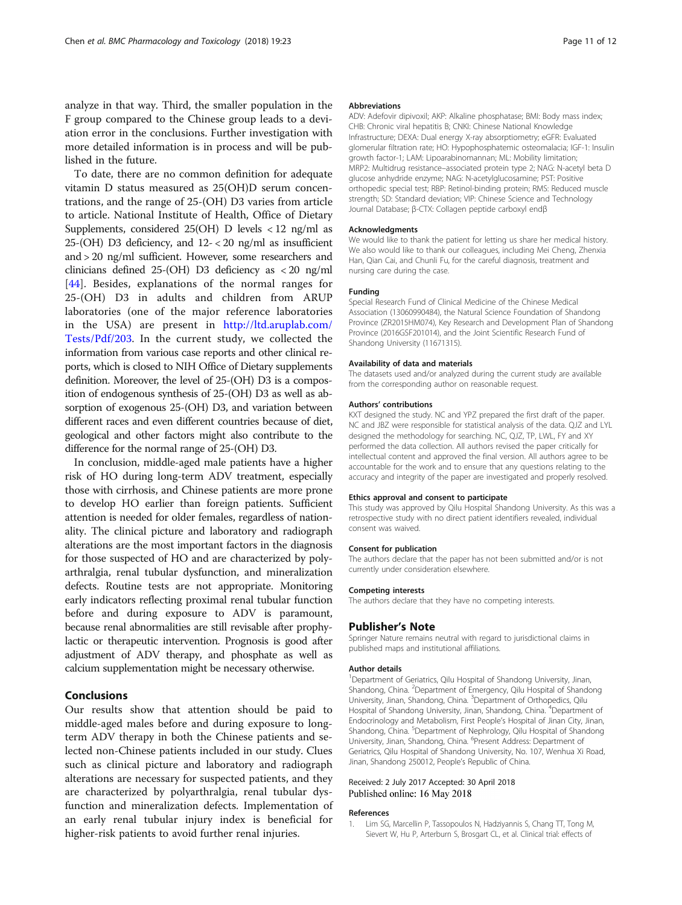<span id="page-10-0"></span>analyze in that way. Third, the smaller population in the F group compared to the Chinese group leads to a deviation error in the conclusions. Further investigation with more detailed information is in process and will be published in the future.

To date, there are no common definition for adequate vitamin D status measured as 25(OH)D serum concentrations, and the range of 25-(OH) D3 varies from article to article. National Institute of Health, Office of Dietary Supplements, considered  $25(OH)$  D levels < 12 ng/ml as 25-(OH) D3 deficiency, and 12- < 20 ng/ml as insufficient and > 20 ng/ml sufficient. However, some researchers and clinicians defined 25-(OH) D3 deficiency as < 20 ng/ml [[44\]](#page-11-0). Besides, explanations of the normal ranges for 25-(OH) D3 in adults and children from ARUP laboratories (one of the major reference laboratories in the USA) are present in [http://ltd.aruplab.com/](http://ltd.aruplab.com/Tests/Pdf/203) [Tests/Pdf/203](http://ltd.aruplab.com/Tests/Pdf/203). In the current study, we collected the information from various case reports and other clinical reports, which is closed to NIH Office of Dietary supplements definition. Moreover, the level of 25-(OH) D3 is a composition of endogenous synthesis of 25-(OH) D3 as well as absorption of exogenous 25-(OH) D3, and variation between different races and even different countries because of diet, geological and other factors might also contribute to the difference for the normal range of 25-(OH) D3.

In conclusion, middle-aged male patients have a higher risk of HO during long-term ADV treatment, especially those with cirrhosis, and Chinese patients are more prone to develop HO earlier than foreign patients. Sufficient attention is needed for older females, regardless of nationality. The clinical picture and laboratory and radiograph alterations are the most important factors in the diagnosis for those suspected of HO and are characterized by polyarthralgia, renal tubular dysfunction, and mineralization defects. Routine tests are not appropriate. Monitoring early indicators reflecting proximal renal tubular function before and during exposure to ADV is paramount, because renal abnormalities are still revisable after prophylactic or therapeutic intervention. Prognosis is good after adjustment of ADV therapy, and phosphate as well as calcium supplementation might be necessary otherwise.

## Conclusions

Our results show that attention should be paid to middle-aged males before and during exposure to longterm ADV therapy in both the Chinese patients and selected non-Chinese patients included in our study. Clues such as clinical picture and laboratory and radiograph alterations are necessary for suspected patients, and they are characterized by polyarthralgia, renal tubular dysfunction and mineralization defects. Implementation of an early renal tubular injury index is beneficial for higher-risk patients to avoid further renal injuries.

#### Abbreviations

ADV: Adefovir dipivoxil; AKP: Alkaline phosphatase; BMI: Body mass index; CHB: Chronic viral hepatitis B; CNKI: Chinese National Knowledge Infrastructure; DEXA: Dual energy X-ray absorptiometry; eGFR: Evaluated glomerular filtration rate; HO: Hypophosphatemic osteomalacia; IGF-1: Insulin growth factor-1; LAM: Lipoarabinomannan; ML: Mobility limitation; MRP2: Multidrug resistance–associated protein type 2; NAG: N-acetyl beta D glucose anhydride enzyme; NAG: N-acetylglucosamine; PST: Positive orthopedic special test; RBP: Retinol-binding protein; RMS: Reduced muscle strength; SD: Standard deviation; VIP: Chinese Science and Technology Journal Database; β-CTX: Collagen peptide carboxyl endβ

#### Acknowledgments

We would like to thank the patient for letting us share her medical history. We also would like to thank our colleagues, including Mei Cheng, Zhenxia Han, Qian Cai, and Chunli Fu, for the careful diagnosis, treatment and nursing care during the case.

## Funding

Special Research Fund of Clinical Medicine of the Chinese Medical Association (13060990484), the Natural Science Foundation of Shandong Province (ZR2015HM074), Key Research and Development Plan of Shandong Province (2016GSF201014), and the Joint Scientific Research Fund of Shandong University (11671315).

#### Availability of data and materials

The datasets used and/or analyzed during the current study are available from the corresponding author on reasonable request.

#### Authors' contributions

KXT designed the study. NC and YPZ prepared the first draft of the paper. NC and JBZ were responsible for statistical analysis of the data. QJZ and LYL designed the methodology for searching. NC, QJZ, TP, LWL, FY and XY performed the data collection. All authors revised the paper critically for intellectual content and approved the final version. All authors agree to be accountable for the work and to ensure that any questions relating to the accuracy and integrity of the paper are investigated and properly resolved.

#### Ethics approval and consent to participate

This study was approved by Qilu Hospital Shandong University. As this was a retrospective study with no direct patient identifiers revealed, individual consent was waived.

#### Consent for publication

The authors declare that the paper has not been submitted and/or is not currently under consideration elsewhere.

#### Competing interests

The authors declare that they have no competing interests.

#### Publisher's Note

Springer Nature remains neutral with regard to jurisdictional claims in published maps and institutional affiliations.

#### Author details

<sup>1</sup>Department of Geriatrics, Qilu Hospital of Shandong University, Jinan, Shandong, China. <sup>2</sup>Department of Emergency, Qilu Hospital of Shandong University, Jinan, Shandong, China. <sup>3</sup>Department of Orthopedics, Qilu Hospital of Shandong University, Jinan, Shandong, China. <sup>4</sup> Department of Endocrinology and Metabolism, First People's Hospital of Jinan City, Jinan, Shandong, China. <sup>5</sup>Department of Nephrology, Qilu Hospital of Shandong University, Jinan, Shandong, China. <sup>6</sup>Present Address: Department of Geriatrics, Qilu Hospital of Shandong University, No. 107, Wenhua Xi Road, Jinan, Shandong 250012, People's Republic of China.

#### Received: 2 July 2017 Accepted: 30 April 2018 Published online: 16 May 2018

#### References

1. Lim SG, Marcellin P, Tassopoulos N, Hadziyannis S, Chang TT, Tong M, Sievert W, Hu P, Arterburn S, Brosgart CL, et al. Clinical trial: effects of